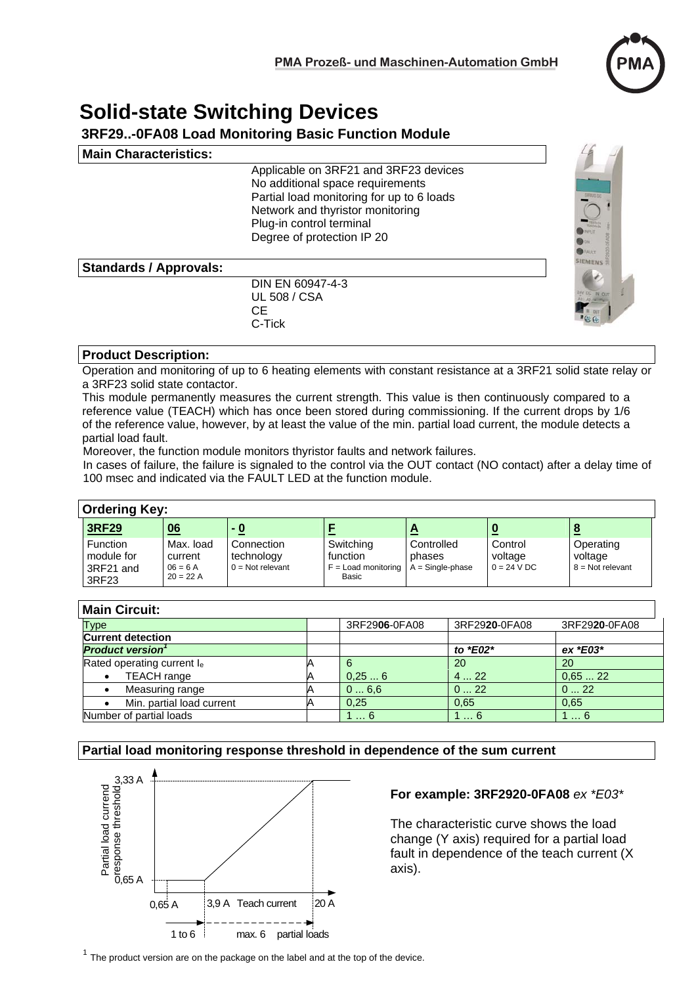

# **Solid-state Switching Devices**

### **3RF29..-0FA08 Load Monitoring Basic Function Module**

| <b>Main Characteristics:</b>  |                                           |  |
|-------------------------------|-------------------------------------------|--|
|                               | Applicable on 3RF21 and 3RF23 devices     |  |
|                               | No additional space requirements          |  |
|                               | Partial load monitoring for up to 6 loads |  |
|                               | Network and thyristor monitoring          |  |
|                               | Plug-in control terminal                  |  |
|                               | Degree of protection IP 20                |  |
| <b>Standards / Approvals:</b> |                                           |  |
|                               | DIN EN 60947-4-3                          |  |
|                               | <b>UL 508 / CSA</b>                       |  |
|                               | CE.                                       |  |
|                               | C-Tick                                    |  |

#### **Product Description:**

Operation and monitoring of up to 6 heating elements with constant resistance at a 3RF21 solid state relay or a 3RF23 solid state contactor.

This module permanently measures the current strength. This value is then continuously compared to a reference value (TEACH) which has once been stored during commissioning. If the current drops by 1/6 of the reference value, however, by at least the value of the min. partial load current, the module detects a partial load fault.

Moreover, the function module monitors thyristor faults and network failures.

In cases of failure, the failure is signaled to the control via the OUT contact (NO contact) after a delay time of 100 msec and indicated via the FAULT LED at the function module.

| <b>Ordering Key:</b>                                |                                                   |                                                |                                                         |                                            |                                     |                                            |  |
|-----------------------------------------------------|---------------------------------------------------|------------------------------------------------|---------------------------------------------------------|--------------------------------------------|-------------------------------------|--------------------------------------------|--|
| <b>3RF29</b>                                        | 06                                                | - 0                                            |                                                         | $\blacksquare$                             |                                     |                                            |  |
| <b>Function</b><br>module for<br>3RF21 and<br>3RF23 | Max. load<br>current<br>$06 = 6 A$<br>$20 = 22$ A | Connection<br>technology<br>$0 = Not$ relevant | Switching<br>function<br>$F =$ Load monitoring<br>Basic | Controlled<br>phases<br>$A =$ Single-phase | Control<br>voltage<br>$0 = 24$ V DC | Operating<br>voltage<br>$8 = Not$ relevant |  |

| Main Circuit:                       |  |               |               |               |  |
|-------------------------------------|--|---------------|---------------|---------------|--|
| <b>Type</b>                         |  | 3RF2906-0FA08 | 3RF2920-0FA08 | 3RF2920-0FA08 |  |
| <b>Current detection</b>            |  |               |               |               |  |
| <b>Product version</b> <sup>1</sup> |  |               | to *E02*      | ex *E03*      |  |
| Rated operating current le          |  | 6             | 20            | <b>20</b>     |  |
| <b>TEACH</b> range<br>$\bullet$     |  | 0.256         | 422           | 0.6522        |  |
| Measuring range<br>$\bullet$        |  | 06.6          | 022           | 022           |  |
| Min. partial load current           |  | 0,25          | 0,65          | 0,65          |  |
| Number of partial loads             |  | 1 … 6         | 1 … 6         | . 6           |  |

#### **Partial load monitoring response threshold in dependence of the sum current**



#### **For example: 3RF2920-0FA08** *ex \*E03\**

The characteristic curve shows the load change (Y axis) required for a partial load fault in dependence of the teach current (X axis).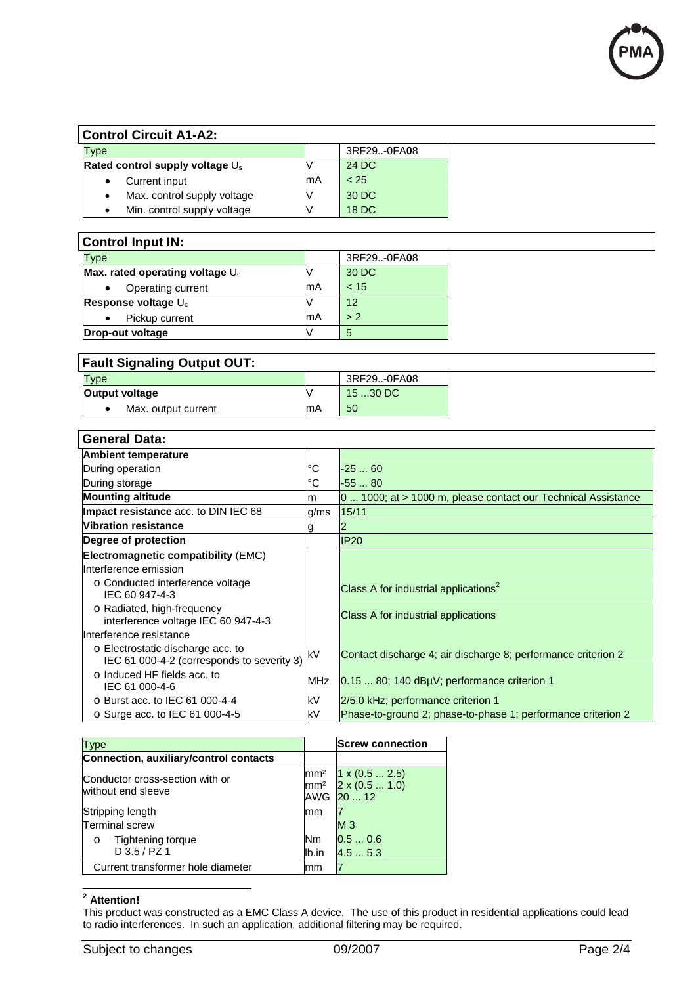

| Control Circuit A1-A2:                      |    |             |  |  |  |  |
|---------------------------------------------|----|-------------|--|--|--|--|
| Type                                        |    | 3RF29-0FA08 |  |  |  |  |
| Rated control supply voltage $\mathsf{U}_s$ |    | 24 DC       |  |  |  |  |
| Current input                               | mA | < 25        |  |  |  |  |
| Max. control supply voltage<br>$\bullet$    |    | 30 DC       |  |  |  |  |
| Min. control supply voltage<br>٠            |    | 18 DC       |  |  |  |  |

## **Control Input IN:**

| Type                                                   |     | 3RF29-0FA08 |
|--------------------------------------------------------|-----|-------------|
| Max. rated operating voltage $\mathsf{U}_{\mathrm{c}}$ |     | 30 DC       |
| Operating current                                      | lmA | < 15        |
| Response voltage $\cup_{\alpha}$                       |     | 12          |
| Pickup current                                         | lmA | > 2         |
| Drop-out voltage                                       |     | 5           |

| <b>Fault Signaling Output OUT:</b> |     |             |
|------------------------------------|-----|-------------|
| <b>Type</b>                        |     | 3RF29-0FA08 |
| Output voltage                     |     | $1530$ DC   |
| Max. output current                | lmA | 50          |

| <b>General Data:</b>                                                            |      |                                                               |  |  |
|---------------------------------------------------------------------------------|------|---------------------------------------------------------------|--|--|
| <b>Ambient temperature</b>                                                      |      |                                                               |  |  |
| During operation                                                                | °C   | $-2560$                                                       |  |  |
| During storage                                                                  | °C   | $-5580$                                                       |  |  |
| <b>Mounting altitude</b>                                                        | m    | 0  1000; at > 1000 m, please contact our Technical Assistance |  |  |
| Impact resistance acc. to DIN IEC 68                                            | g/ms | 15/11                                                         |  |  |
| <b>Vibration resistance</b>                                                     |      |                                                               |  |  |
| Degree of protection                                                            |      | <b>IP20</b>                                                   |  |  |
| Electromagnetic compatibility (EMC)                                             |      |                                                               |  |  |
| Interference emission                                                           |      |                                                               |  |  |
| o Conducted interference voltage<br>IEC 60 947-4-3                              |      | Class A for industrial applications <sup>2</sup>              |  |  |
| o Radiated, high-frequency<br>interference voltage IEC 60 947-4-3               |      | Class A for industrial applications                           |  |  |
| Interference resistance                                                         |      |                                                               |  |  |
| o Electrostatic discharge acc. to<br>IEC 61 000-4-2 (corresponds to severity 3) | kV   | Contact discharge 4; air discharge 8; performance criterion 2 |  |  |
| o Induced HF fields acc. to<br>IEC 61 000-4-6                                   | MHz. | $[0.15 \dots 80; 140$ dB $\mu$ V; performance criterion 1     |  |  |
| $\circ$ Burst acc. to IEC 61 000-4-4                                            | kV   | 2/5.0 kHz; performance criterion 1                            |  |  |
| o Surge acc. to IEC 61 000-4-5                                                  | kV   | Phase-to-ground 2; phase-to-phase 1; performance criterion 2  |  |  |

| <b>Type</b>                                           |             | <b>Screw connection</b>                                                                      |
|-------------------------------------------------------|-------------|----------------------------------------------------------------------------------------------|
| Connection, auxiliary/control contacts                |             |                                                                                              |
| Conductor cross-section with or<br>without end sleeve |             | mm <sup>2</sup> $1 \times (0.5  2.5)$<br>mm <sup>2</sup> $2 \times (0.5  1.0)$<br>AWG 20  12 |
| Stripping length                                      | mm          |                                                                                              |
| <b>Terminal screw</b>                                 |             | M <sub>3</sub>                                                                               |
| Tightening torque<br>$\circ$<br>$D$ 3.5 / PZ 1        | Nm<br>lb.in | 0.50.6<br>4.55.3                                                                             |
| Current transformer hole diameter                     | mm          |                                                                                              |

# **2 Attention!**

This product was constructed as a EMC Class A device. The use of this product in residential applications could lead to radio interferences. In such an application, additional filtering may be required.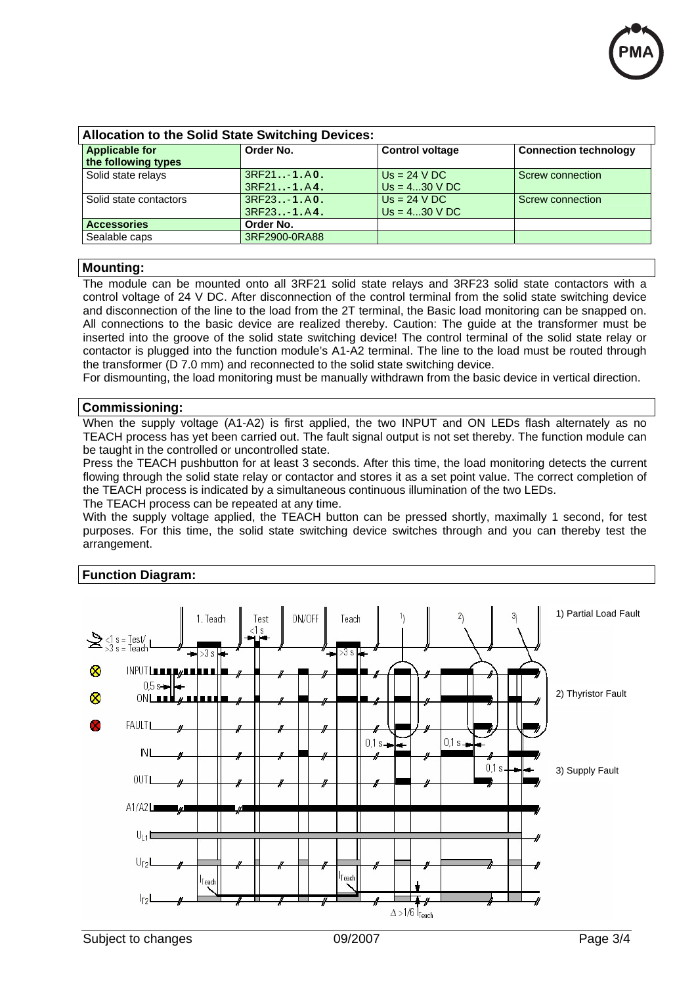

| <b>Allocation to the Solid State Switching Devices:</b> |                          |                                  |                              |  |  |  |
|---------------------------------------------------------|--------------------------|----------------------------------|------------------------------|--|--|--|
| <b>Applicable for</b><br>the following types            | Order No.                | <b>Control voltage</b>           | <b>Connection technology</b> |  |  |  |
| Solid state relays                                      | BRF211.A0.<br>BRF211.A4. | $Us = 24 VDC$<br>$Us = 430 V DC$ | Screw connection             |  |  |  |
| Solid state contactors                                  | BRF231.A0.<br>3RF231.A4. | $Us = 24 VDC$<br>$Us = 430 V DC$ | Screw connection             |  |  |  |
| <b>Accessories</b>                                      | Order No.                |                                  |                              |  |  |  |
| Sealable caps                                           | 3RF2900-0RA88            |                                  |                              |  |  |  |

#### **Mounting:**

The module can be mounted onto all 3RF21 solid state relays and 3RF23 solid state contactors with a control voltage of 24 V DC. After disconnection of the control terminal from the solid state switching device and disconnection of the line to the load from the 2T terminal, the Basic load monitoring can be snapped on. All connections to the basic device are realized thereby. Caution: The guide at the transformer must be inserted into the groove of the solid state switching device! The control terminal of the solid state relay or contactor is plugged into the function module's A1-A2 terminal. The line to the load must be routed through the transformer (D 7.0 mm) and reconnected to the solid state switching device.

For dismounting, the load monitoring must be manually withdrawn from the basic device in vertical direction.

#### **Commissioning:**

When the supply voltage (A1-A2) is first applied, the two INPUT and ON LEDs flash alternately as no TEACH process has yet been carried out. The fault signal output is not set thereby. The function module can be taught in the controlled or uncontrolled state.

Press the TEACH pushbutton for at least 3 seconds. After this time, the load monitoring detects the current flowing through the solid state relay or contactor and stores it as a set point value. The correct completion of the TEACH process is indicated by a simultaneous continuous illumination of the two LEDs. The TEACH process can be repeated at any time.

With the supply voltage applied, the TEACH button can be pressed shortly, maximally 1 second, for test purposes. For this time, the solid state switching device switches through and you can thereby test the arrangement.

#### **Function Diagram:**